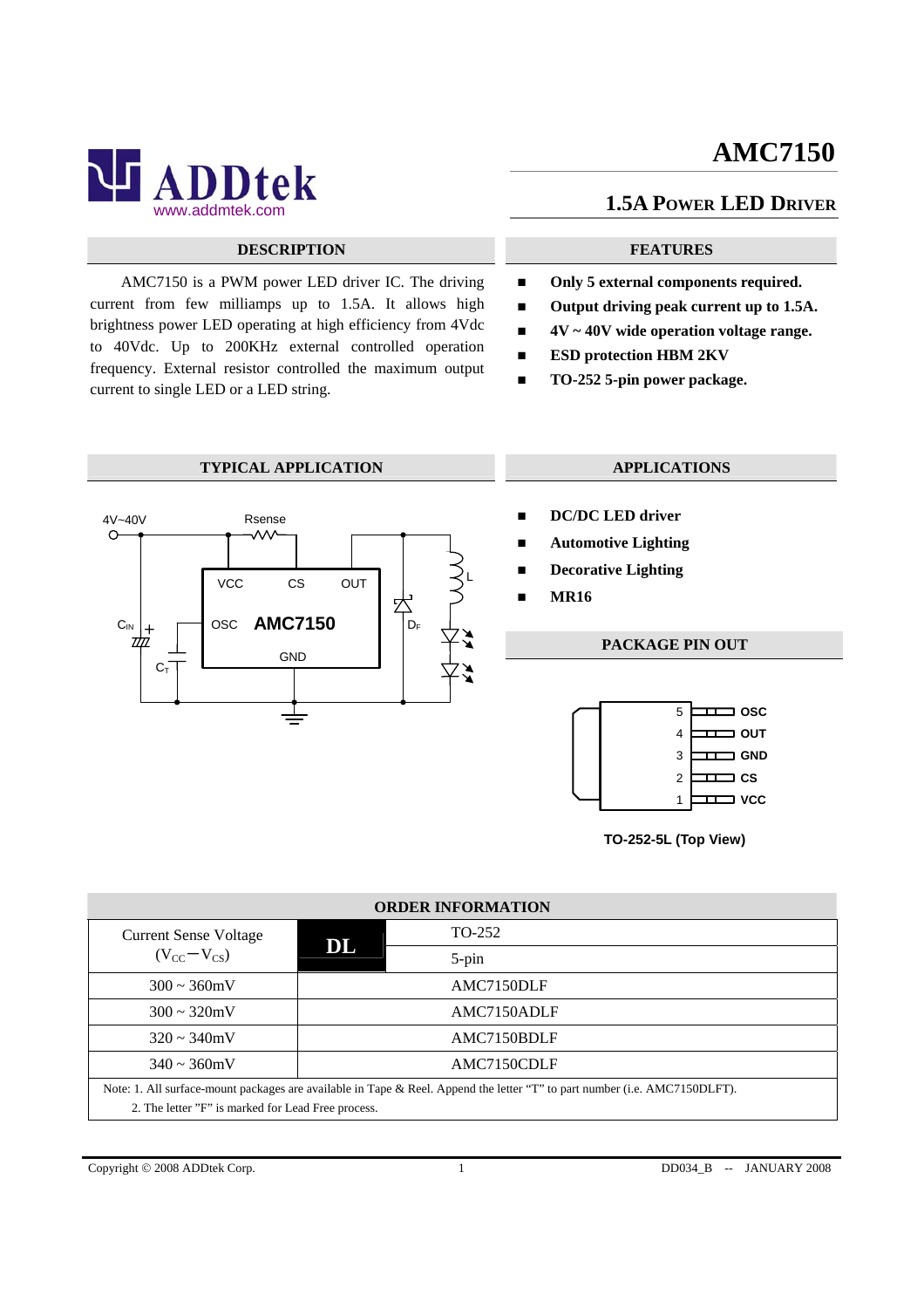# **AMC7150**



## **DESCRIPTION FEATURES**

AMC7150 is a PWM power LED driver IC. The driving current from few milliamps up to 1.5A. It allows high brightness power LED operating at high efficiency from 4Vdc to 40Vdc. Up to 200KHz external controlled operation frequency. External resistor controlled the maximum output current to single LED or a LED string.

## **1.5A POWER LED DRIVER**

- Only 5 external components required.
- Output driving peak current up to 1.5A.
- **4V ~ 40V wide operation voltage range.**
- **ESD protection HBM 2KV**
- **TO-252 5-pin power package.**

### **TYPICAL APPLICATION APPLICATIONS**



- **DC/DC LED driver**
- **Automotive Lighting**
- **Decorative Lighting**
- **MR16**

## **PACKAGE PIN OUT**



**TO-252-5L (Top View)**

| <b>ORDER INFORMATION</b>                                                                                                   |    |             |  |  |
|----------------------------------------------------------------------------------------------------------------------------|----|-------------|--|--|
| <b>Current Sense Voltage</b>                                                                                               | DL | TO-252      |  |  |
| $(V_{CC}-V_{CS})$                                                                                                          |    | $5$ -pin    |  |  |
| $300 \approx 360$ mV                                                                                                       |    | AMC7150DLF  |  |  |
| $300 \sim 320$ mV                                                                                                          |    | AMC7150ADLF |  |  |
| $320 \sim 340$ mV                                                                                                          |    | AMC7150BDLF |  |  |
| $340 \sim 360$ mV                                                                                                          |    | AMC7150CDLF |  |  |
| Note: 1. All surface-mount packages are available in Tape & Reel. Append the letter "T" to part number (i.e. AMC7150DLFT). |    |             |  |  |
| 2. The letter "F" is marked for Lead Free process.                                                                         |    |             |  |  |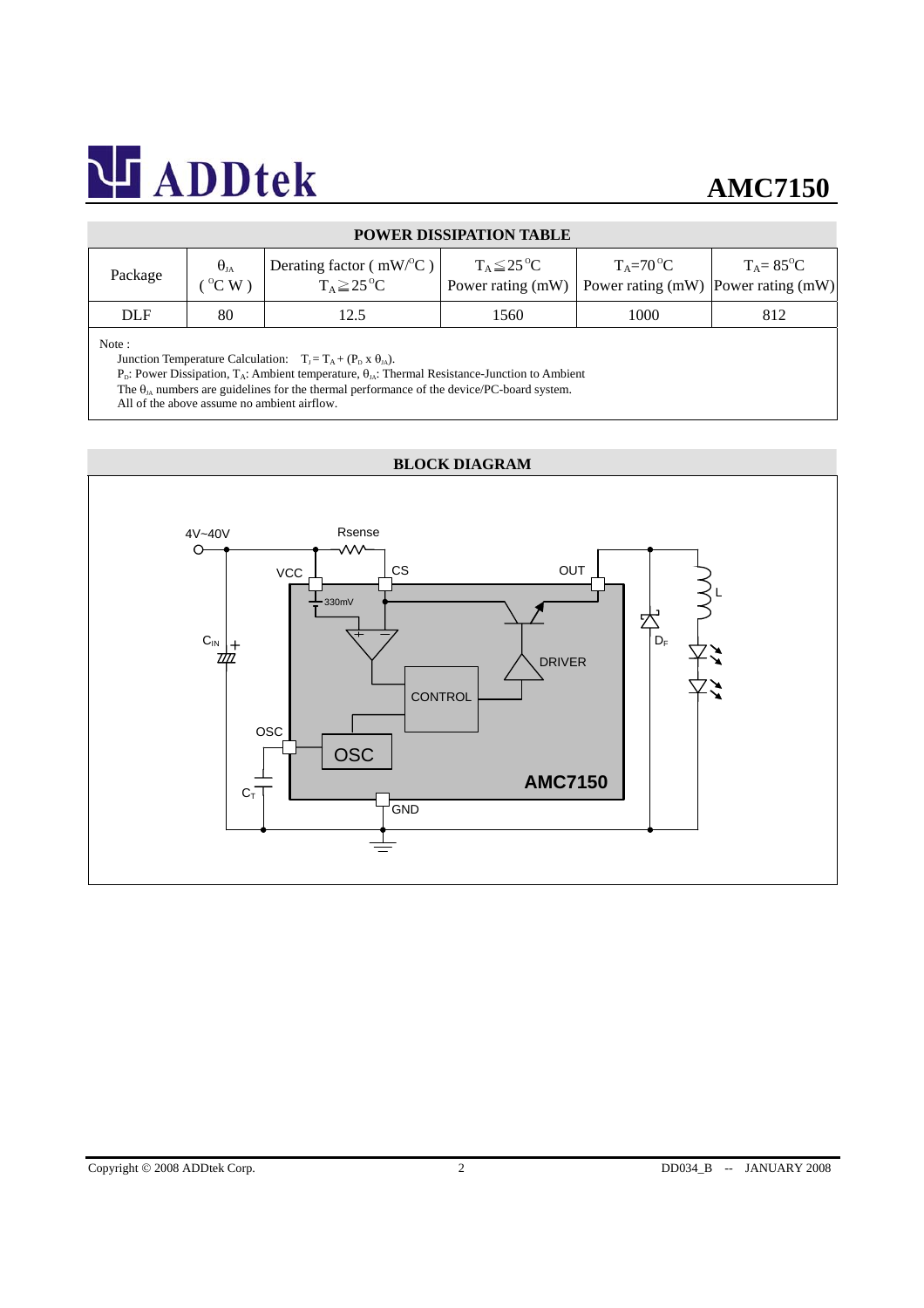| Package | $\Theta_{JA}$<br>$\mathrm{^{\circ}C}$ W | <sup>1</sup> Derating factor ( $mW$ <sup>o</sup> C)<br>$T_A \geq 25$ <sup>o</sup> C | $T_A \leq 25$ <sup>o</sup> C | $T_{\Lambda} = 70^{\circ}C$<br>Power rating (mW)   Power rating (mW)   Power rating (mW) | $T_{\Lambda} = 85^{\circ}C$ |  |  |
|---------|-----------------------------------------|-------------------------------------------------------------------------------------|------------------------------|------------------------------------------------------------------------------------------|-----------------------------|--|--|
| DLF     | 80                                      | 12.5                                                                                | 1560                         | 1000                                                                                     | 812                         |  |  |
|         |                                         |                                                                                     |                              |                                                                                          |                             |  |  |

## **POWER DISSIPATION TABLE**

#### Note :

Junction Temperature Calculation:  $T_J = T_A + (P_D \times \theta_{JA}).$ 

P<sub>D</sub>: Power Dissipation, T<sub>A</sub>: Ambient temperature,  $\theta_{JA}$ : Thermal Resistance-Junction to Ambient

The  $\theta_{JA}$  numbers are guidelines for the thermal performance of the device/PC-board system.

All of the above assume no ambient airflow.

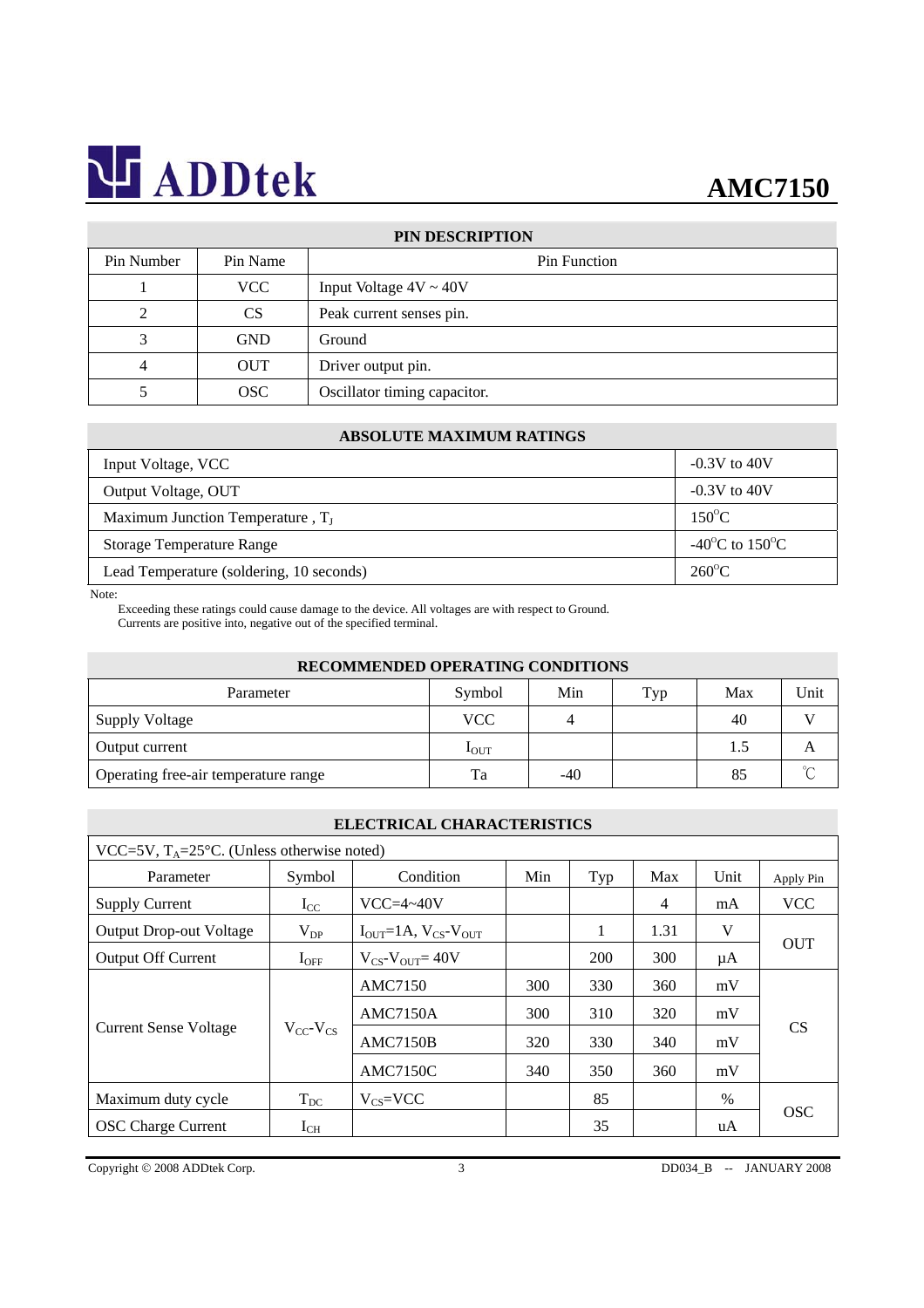# **AMC7150**

| PIN DESCRIPTION |            |                              |  |  |
|-----------------|------------|------------------------------|--|--|
| Pin Number      | Pin Name   | Pin Function                 |  |  |
|                 | <b>VCC</b> | Input Voltage $4V \sim 40V$  |  |  |
|                 | <b>CS</b>  | Peak current senses pin.     |  |  |
|                 | <b>GND</b> | Ground                       |  |  |
|                 | <b>OUT</b> | Driver output pin.           |  |  |
|                 | OSC        | Oscillator timing capacitor. |  |  |

### **ABSOLUTE MAXIMUM RATINGS**

| Input Voltage, VCC                       | $-0.3V$ to $40V$                         |  |
|------------------------------------------|------------------------------------------|--|
| Output Voltage, OUT                      | $-0.3V$ to $40V$                         |  |
| Maximum Junction Temperature, $T_I$      | $150^{\circ}$ C                          |  |
| <b>Storage Temperature Range</b>         | -40 <sup>o</sup> C to 150 <sup>o</sup> C |  |
| Lead Temperature (soldering, 10 seconds) | $260^{\circ}$ C                          |  |

Note:

Exceeding these ratings could cause damage to the device. All voltages are with respect to Ground. Currents are positive into, negative out of the specified terminal.

| RECOMMENDED OPERATING CONDITIONS     |                  |     |     |     |        |  |
|--------------------------------------|------------------|-----|-----|-----|--------|--|
| Parameter                            | Symbol           | Min | Typ | Max | Unit   |  |
| Supply Voltage                       | <b>VCC</b>       |     |     | 40  |        |  |
| Output current                       | $I_{\text{OUT}}$ |     |     | 1.5 | А      |  |
| Operating free-air temperature range | Ta               | -40 |     | 85  | $\sim$ |  |

### **ELECTRICAL CHARACTERISTICS**

| VCC=5V, $T_A$ =25°C. (Unless otherwise noted) |                     |                                                   |     |     |                |      |            |  |
|-----------------------------------------------|---------------------|---------------------------------------------------|-----|-----|----------------|------|------------|--|
| Parameter                                     | Symbol              | Condition                                         | Min | Typ | Max            | Unit | Apply Pin  |  |
| <b>Supply Current</b>                         | $I_{CC}$            | $VCC=4~40V$                                       |     |     | $\overline{4}$ | mA   | <b>VCC</b> |  |
| <b>Output Drop-out Voltage</b>                | $V_{DP}$            | $I_{\text{OUT}}=1A, V_{\text{CS}}-V_{\text{OUT}}$ |     |     | 1.31           | V    | <b>OUT</b> |  |
| <b>Output Off Current</b>                     | $I_{\rm OFF}$       | $V_{CS}$ - $V_{OUT}$ = 40V                        |     | 200 | 300            | μA   |            |  |
| <b>Current Sense Voltage</b>                  | $V_{CC}$ - $V_{CS}$ | <b>AMC7150</b>                                    | 300 | 330 | 360            | mV   | <b>CS</b>  |  |
|                                               |                     | <b>AMC7150A</b>                                   | 300 | 310 | 320            | mV   |            |  |
|                                               |                     | <b>AMC7150B</b>                                   | 320 | 330 | 340            | mV   |            |  |
|                                               |                     | <b>AMC7150C</b>                                   | 340 | 350 | 360            | mV   |            |  |
| Maximum duty cycle                            | $T_{DC}$            | $V_{CS}=VCC$                                      |     | 85  |                | $\%$ | <b>OSC</b> |  |
| <b>OSC</b> Charge Current                     | $I_{CH}$            |                                                   |     | 35  |                | uA   |            |  |

Copyright © 2008 ADDtek Corp. 3 DD034\_B -- JANUARY 2008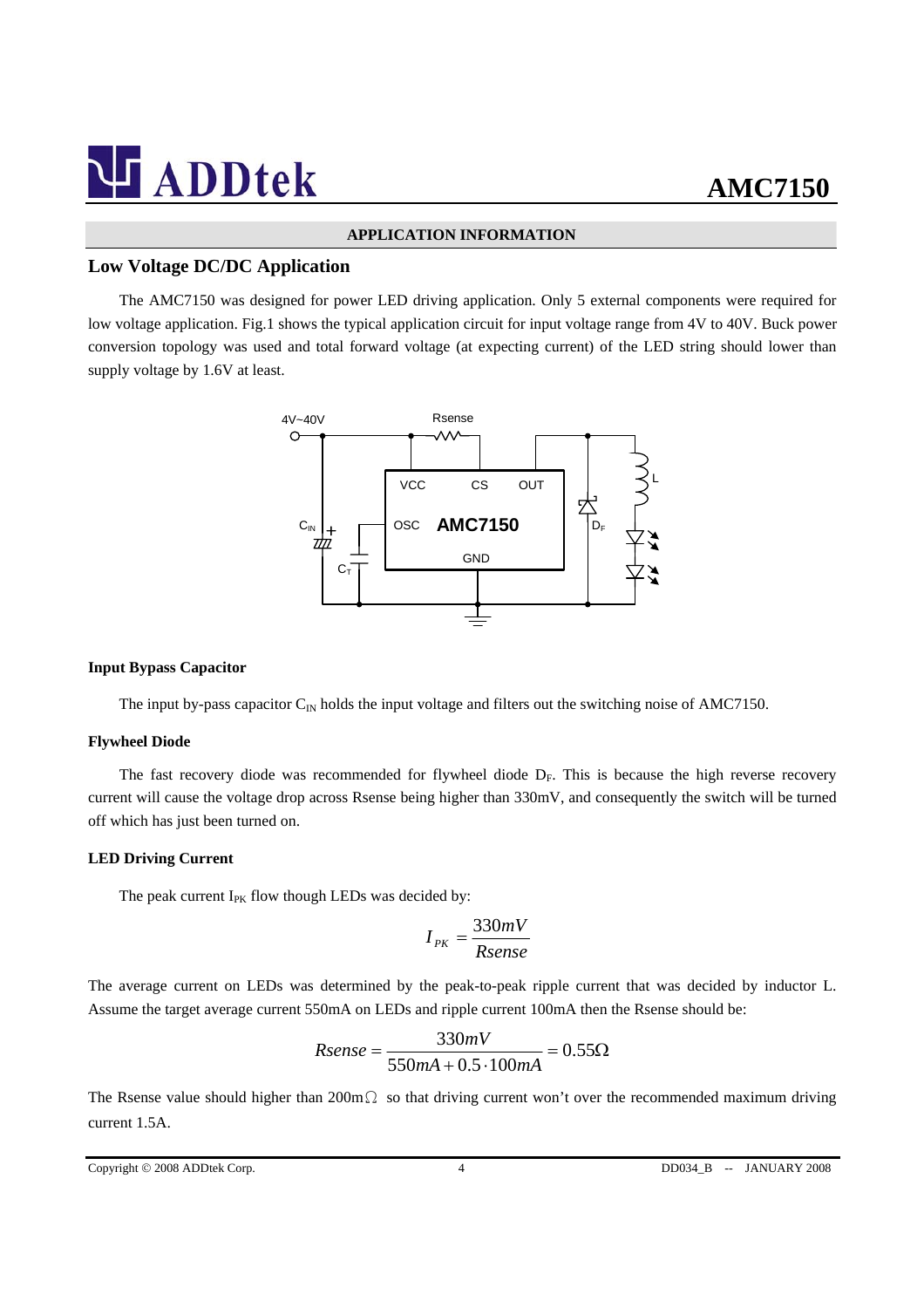#### **APPLICATION INFORMATION**

### **Low Voltage DC/DC Application**

The AMC7150 was designed for power LED driving application. Only 5 external components were required for low voltage application. Fig.1 shows the typical application circuit for input voltage range from 4V to 40V. Buck power conversion topology was used and total forward voltage (at expecting current) of the LED string should lower than supply voltage by 1.6V at least.



### **Input Bypass Capacitor**

The input by-pass capacitor  $C_{\text{IN}}$  holds the input voltage and filters out the switching noise of AMC7150.

#### **Flywheel Diode**

The fast recovery diode was recommended for flywheel diode  $D_F$ . This is because the high reverse recovery current will cause the voltage drop across Rsense being higher than 330mV, and consequently the switch will be turned off which has just been turned on.

### **LED Driving Current**

The peak current  $I_{PK}$  flow though LEDs was decided by:

$$
I_{PK} = \frac{330mV}{Rsense}
$$

The average current on LEDs was determined by the peak-to-peak ripple current that was decided by inductor L. Assume the target average current 550mA on LEDs and ripple current 100mA then the Rsense should be:

$$
Rsense = \frac{330mV}{550mA + 0.5 \cdot 100mA} = 0.55\Omega
$$

The Rsense value should higher than 200mΩ so that driving current won't over the recommended maximum driving current 1.5A.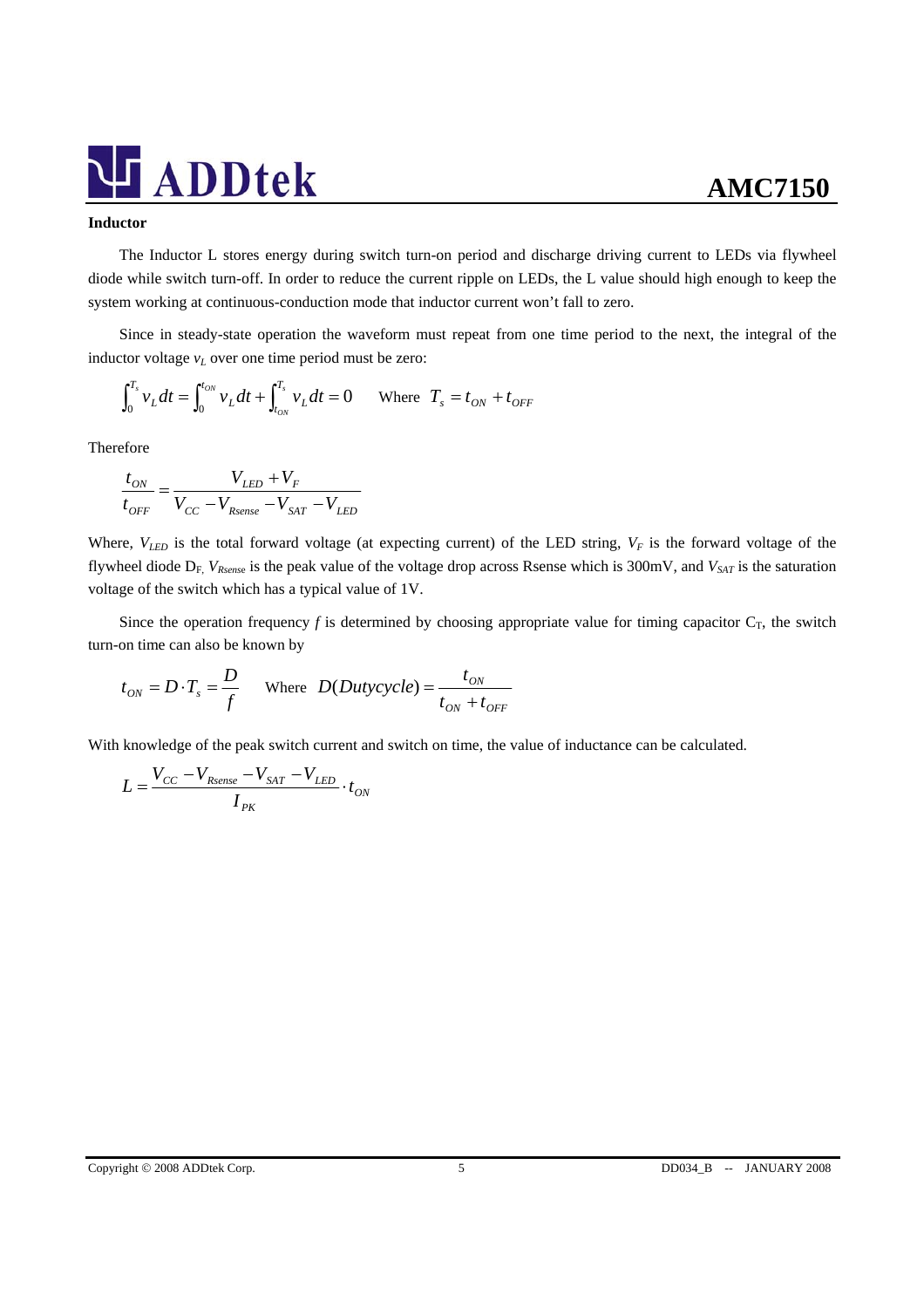#### **Inductor**

The Inductor L stores energy during switch turn-on period and discharge driving current to LEDs via flywheel diode while switch turn-off. In order to reduce the current ripple on LEDs, the L value should high enough to keep the system working at continuous-conduction mode that inductor current won't fall to zero.

Since in steady-state operation the waveform must repeat from one time period to the next, the integral of the inductor voltage  $v_L$  over one time period must be zero:

$$
\int_0^{T_s} v_L dt = \int_0^{t_{ON}} v_L dt + \int_{t_{ON}}^{T_s} v_L dt = 0 \quad \text{Where } T_s = t_{ON} + t_{OFF}
$$

Therefore

$$
\frac{t_{ON}}{t_{OFF}} = \frac{V_{LED} + V_F}{V_{CC} - V_{Rsense} - V_{SAT} - V_{LED}}
$$

Where,  $V_{LED}$  is the total forward voltage (at expecting current) of the LED string,  $V_F$  is the forward voltage of the flywheel diode D<sub>F,</sub> V<sub>Rsense</sub> is the peak value of the voltage drop across Rsense which is 300mV, and V<sub>SAT</sub> is the saturation voltage of the switch which has a typical value of 1V.

Since the operation frequency  $f$  is determined by choosing appropriate value for timing capacitor  $C_T$ , the switch turn-on time can also be known by

$$
t_{ON} = D \cdot T_s = \frac{D}{f}
$$
 Where  $D(Dutycycle) = \frac{t_{ON}}{t_{ON} + t_{OFF}}$ 

With knowledge of the peak switch current and switch on time, the value of inductance can be calculated.

$$
L = \frac{V_{CC} - V_{Rsense} - V_{SAT} - V_{LED}}{I_{PK}} \cdot t_{ON}
$$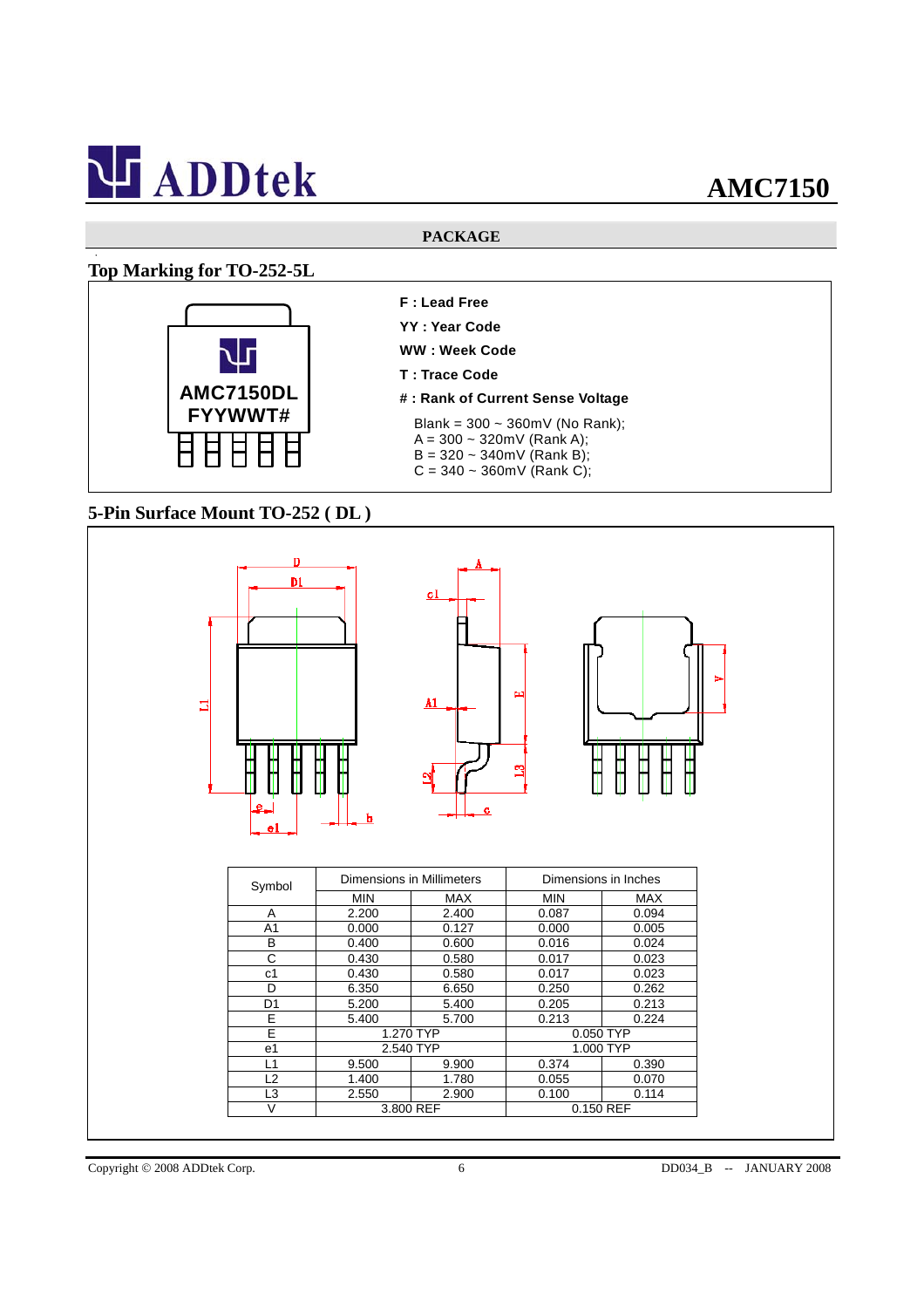### **PACKAGE**

## **Top Marking for TO-252-5L**

 $\bullet$ 



- **F : Lead Free**
- **YY : Year Code**
- **WW : Week Code**
- **T : Trace Code**
- **# : Rank of Current Sense Voltage**
- Blank = 300 ~ 360mV (No Rank);
- $A = 300 320$  mV (Rank A);
- $B = 320 340$  mV (Rank B);  $C = 340 \sim 360$  mV (Rank C);
- 

## **5-Pin Surface Mount TO-252 ( DL )**



Copyright © 2008 ADDtek Corp. 6 6 DD034\_B -- JANUARY 2008